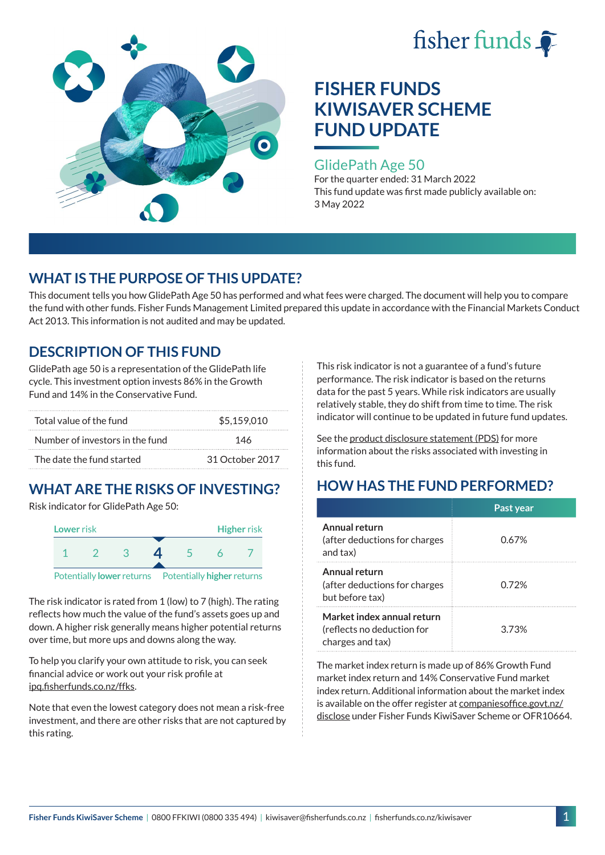



## GlidePath Age 50

For the quarter ended: 31 March 2022 This fund update was first made publicly available on: 3 May 2022

# **WHAT IS THE PURPOSE OF THIS UPDATE?**

This document tells you how GlidePath Age 50 has performed and what fees were charged. The document will help you to compare the fund with other funds. Fisher Funds Management Limited prepared this update in accordance with the Financial Markets Conduct Act 2013. This information is not audited and may be updated.

## **DESCRIPTION OF THIS FUND**

GlidePath age 50 is a representation of the GlidePath life cycle. This investment option invests 86% in the Growth Fund and 14% in the Conservative Fund.

| Total value of the fund         | \$5.159,010     |  |
|---------------------------------|-----------------|--|
| Number of investors in the fund | 146             |  |
| The date the fund started       | 31 October 2017 |  |

# **WHAT ARE THE RISKS OF INVESTING?**

Risk indicator for GlidePath Age 50:



The risk indicator is rated from 1 (low) to 7 (high). The rating reflects how much the value of the fund's assets goes up and down. A higher risk generally means higher potential returns over time, but more ups and downs along the way.

To help you clarify your own attitude to risk, you can seek financial advice or work out your risk profile at [ipq.fisherfunds.co.nz/ffks](https://ipq.fisherfunds.co.nz/ffks).

Note that even the lowest category does not mean a risk-free investment, and there are other risks that are not captured by this rating.

This risk indicator is not a guarantee of a fund's future performance. The risk indicator is based on the returns data for the past 5 years. While risk indicators are usually relatively stable, they do shift from time to time. The risk indicator will continue to be updated in future fund updates.

See the [product disclosure statement \(PDS\)](https://fisherfunds.co.nz/assets/PDS/Fisher-Funds-KiwiSaver-Scheme-PDS.pdf) for more information about the risks associated with investing in this fund.

# **HOW HAS THE FUND PERFORMED?**

|                                                                              | Past year |
|------------------------------------------------------------------------------|-----------|
| Annual return<br>(after deductions for charges<br>and tax)                   | 0.67%     |
| Annual return<br>(after deductions for charges<br>but before tax)            | 0.72%     |
| Market index annual return<br>(reflects no deduction for<br>charges and tax) | 3.73%     |

The market index return is made up of 86% Growth Fund market index return and 14% Conservative Fund market index return. Additional information about the market index is available on the offer register at [companiesoffice.govt.nz/](http://companiesoffice.govt.nz/disclose) [disclose](http://companiesoffice.govt.nz/disclose) under Fisher Funds KiwiSaver Scheme or OFR10664.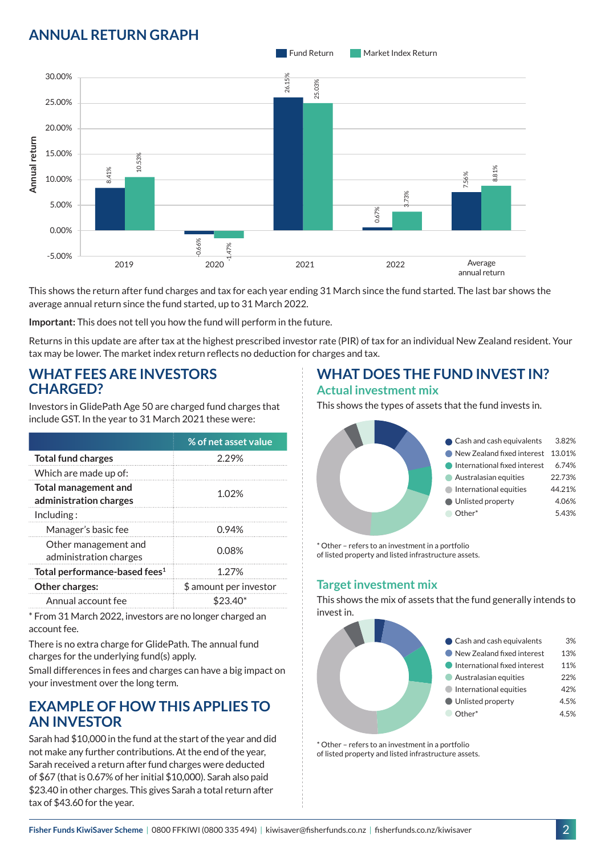# **ANNUAL RETURN GRAPH**



This shows the return after fund charges and tax for each year ending 31 March since the fund started. The last bar shows the average annual return since the fund started, up to 31 March 2022.

**Important:** This does not tell you how the fund will perform in the future.

Returns in this update are after tax at the highest prescribed investor rate (PIR) of tax for an individual New Zealand resident. Your tax may be lower. The market index return reflects no deduction for charges and tax.

### **WHAT FEES ARE INVESTORS CHARGED?**

Investors in GlidePath Age 50 are charged fund charges that include GST. In the year to 31 March 2021 these were:

|                                                       | % of net asset value   |  |
|-------------------------------------------------------|------------------------|--|
| <b>Total fund charges</b>                             | 2.29%                  |  |
| Which are made up of:                                 |                        |  |
| <b>Total management and</b><br>administration charges | 1.02%                  |  |
| Inding:                                               |                        |  |
| Manager's basic fee                                   | 0.94%                  |  |
| Other management and<br>administration charges        | 0.08%                  |  |
| Total performance-based fees <sup>1</sup>             | 1.27%                  |  |
| Other charges:                                        | \$ amount per investor |  |
| Annual account fee                                    | \$23.                  |  |

\* From 31 March 2022, investors are no longer charged an account fee.

There is no extra charge for GlidePath. The annual fund charges for the underlying fund(s) apply.

Small differences in fees and charges can have a big impact on your investment over the long term.

## **EXAMPLE OF HOW THIS APPLIES TO AN INVESTOR**

Sarah had \$10,000 in the fund at the start of the year and did not make any further contributions. At the end of the year, Sarah received a return after fund charges were deducted of \$67 (that is 0.67% of her initial \$10,000). Sarah also paid \$23.40 in other charges. This gives Sarah a total return after tax of \$43.60 for the year.

# **WHAT DOES THE FUND INVEST IN?**

#### **Actual investment mix**

This shows the types of assets that the fund invests in.



\* Other – refers to an investment in a portfolio of listed property and listed infrastructure assets.

#### **Target investment mix**

This shows the mix of assets that the fund generally intends to invest in.



\* Other – refers to an investment in a portfolio of listed property and listed infrastructure assets.